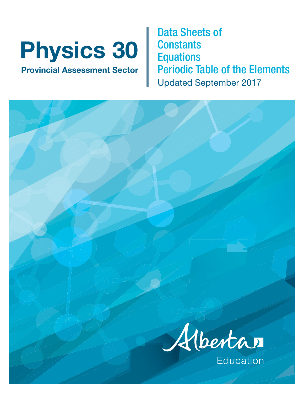# **Physics 30**

**Provincial Assessment Sector**

Data Sheets of **Constants Equations** Periodic Table of the Elements Updated September 2017

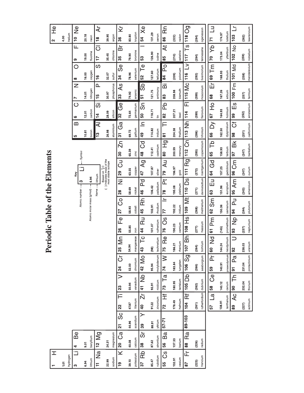|                                          |                                 |                                                     |                       |                             |                                 | $\tilde{\mathbf{r}}$ |                         |                           |                                 | eriodic Table of the Elements                                                |                         |                                     |                     |                               |                          |                                      |                                           |
|------------------------------------------|---------------------------------|-----------------------------------------------------|-----------------------|-----------------------------|---------------------------------|----------------------|-------------------------|---------------------------|---------------------------------|------------------------------------------------------------------------------|-------------------------|-------------------------------------|---------------------|-------------------------------|--------------------------|--------------------------------------|-------------------------------------------|
| I                                        |                                 |                                                     |                       |                             |                                 |                      |                         |                           |                                 |                                                                              |                         |                                     |                     |                               |                          |                                      | $\frac{\omega}{\pm}$<br>2                 |
| $\frac{5}{2}$                            |                                 |                                                     |                       |                             |                                 |                      |                         |                           |                                 |                                                                              |                         |                                     |                     |                               |                          |                                      | 4.00                                      |
| hydrogen                                 |                                 |                                                     |                       |                             |                                 |                      |                         |                           |                                 |                                                                              |                         |                                     |                     |                               |                          |                                      | helium                                    |
| Ë<br>က                                   | Be<br>4                         |                                                     |                       |                             |                                 |                      |                         | Atomic number             | ო                               | Key                                                                          |                         | $\mathbf{\Omega}$<br>5              | $\circ$<br>ဖ        | Z<br>r                        | $\bigcirc$<br>$\infty$   | Щ<br>თ                               | $\frac{\Theta}{\Xi}$<br>$\overline{10}$   |
| 6.94                                     | 9.01                            |                                                     |                       |                             |                                 |                      |                         |                           |                                 |                                                                              | Symbol                  | 10.81                               | 12.01               | 14.01                         | 16.00                    | 19.00                                | 20.18                                     |
| lithium                                  | beryllium                       |                                                     |                       |                             |                                 |                      |                         | Atomic molar mass (g/mol) | 6.94                            |                                                                              |                         | boron                               | carbon              | nitrogen                      | oxygen                   | fluorine                             | neon                                      |
| 2g<br>Ħ                                  | $12$ Mg                         |                                                     |                       |                             |                                 |                      |                         |                           | lithium<br>Name-                |                                                                              |                         | ₹<br>13                             | õ<br>$\overline{4}$ | $\mathbf{a}$<br>$\frac{5}{1}$ | ၯ<br>$\frac{6}{1}$       | $\overline{\circ}$<br>$\overline{1}$ | $\overline{\mathcal{A}}$<br>$\frac{8}{1}$ |
| 22.99                                    | 24.31                           |                                                     |                       |                             |                                 |                      |                         |                           |                                 | Based on ${}^{12}_{6}$ C<br>( ) Indicates mass of the<br>most stable isotope |                         | 26.98                               | 28.09               | 30.97                         | 32.07                    | 35.45                                | 39.95                                     |
| sodium                                   | magnesium                       |                                                     |                       |                             |                                 |                      |                         |                           |                                 |                                                                              |                         | aluminium                           | silicon             | phosphorus                    | sulfur                   | chlorine                             | argon                                     |
| $\overline{\mathbf{x}}$<br>$\frac{6}{1}$ | ි<br>උ<br>20                    | $\overline{\frac{8}{5}}$<br>$\overline{\mathbf{a}}$ | 22                    | $\overline{>}$<br>23        | $\vec{\circ}$<br>$\overline{2}$ | $\frac{1}{2}$<br>25  | Ψ<br>Π<br>26            | ပိ<br>27                  | $\overline{\overline{z}}$<br>28 | ටි<br>29                                                                     | Σñ<br>$\boldsymbol{30}$ | ි<br>ර<br>$\overline{5}$            | ල<br>උ<br>လ္က       | $\infty$<br>33                | တိ<br>34                 | ă<br>35                              | $\overline{\mathsf{x}}$<br>36             |
| 39.10                                    | 40.08                           | 44.96                                               | 47.87                 | 50.94                       | 52.00                           | 54.94                | 55.85                   | 58.93                     | 58.69                           | 63.55                                                                        | 65.39                   | 69.72                               | 72.64               | 74.92                         | 78.96                    | 79.90                                | 83.80                                     |
| potassium                                | calcium                         | scandium                                            | titanium              | vanadium                    | chromium                        | manganese            | iron                    | cobalt                    | nickel                          | copper                                                                       | zinc                    | gallium                             | germanium           | arsenic                       | selenium                 | bromine                              | krypton                                   |
| $\overline{B}$<br>37                     | $\vec{\infty}$<br>$\frac{8}{3}$ | ≻<br>39                                             | ี่ผ<br>$\overline{a}$ | 41 Nb                       | 42 Mo                           | ЪC<br>43             | R<br>D<br>$\frac{4}{4}$ | ξÉ<br>45                  | n<br>D<br>46                    | $\overline{Q}$<br>47                                                         | ි<br>ර<br>$\frac{8}{4}$ | $\equiv$<br>$\overline{\mathbf{d}}$ | တ်<br>50            | တိ<br>51                      | Ρ<br>52                  | 53                                   | $\frac{6}{3}$<br>54                       |
| 85.47                                    | 87.62                           | 88.91                                               | 91.22                 | 92.91                       | 95.94                           | (98)                 | 101.07                  | 102.91                    | 106.42                          | 107.87                                                                       | 112.41                  | 114.82                              | 118.71              | 121.75                        | 127.60                   | 126.90                               | 131.29                                    |
| rubidium                                 | strontium                       | yttrium                                             | zirconium             | niobium                     | molybdenum                      | technetium           | ruthenium               | rhodium                   | palladium                       | silver                                                                       | cadmium                 | indium                              | $\mathfrak{m}$      | antimony                      | tellurium                | iodine                               | xenon                                     |
| CS<br>55                                 | Ba<br>56                        | 57-71                                               | Ë<br>72               | $\overline{\Gamma}$ a<br>73 | $\geq$<br>$\overline{7}$        | Re<br>75             | ő<br>76                 | $\equiv$<br>77            | ă<br>78                         | $\overline{A}$ u<br>79                                                       | $\overline{P}$<br>80    | Ē<br>$\overline{\circ}$             | ЪÓ<br>82            | ä<br>83                       | $\bar{\mathsf{P}}$<br>84 | $\ddot{\mathbf{x}}$<br>85            | Rn<br>86                                  |
| 132.91                                   | 137.33                          |                                                     | 178.49                | 180.95                      | 183.84                          | মৃ<br>186.           | 190.23                  | 192.22                    | 195.08                          | 196.97                                                                       | 200.59                  | 204.38                              | 207.21              | 208.98                        | (209)                    | (210)                                | (222)                                     |
| cesium                                   | barium                          |                                                     | hafnium               | tantalum                    | tungsten                        | rhenium              | osmium                  | iridium                   | platinum                        | gold                                                                         | mercury                 | thallium                            | lead                | bismuth                       | polonium                 | astatine                             | radon                                     |
| 正<br>78                                  | Ra<br>88                        | 89-103                                              | Rf<br>104             | $105$ Db                    | $\overline{5}$<br>106           | 107 Bh               | $108$ Hs                | 109                       | 110 D <sub>S</sub>              | Rg<br>F                                                                      | 112 Cn                  | 113 Nh                              | 匸<br>114            | 115 Mc                        | $\geq$<br>116            | Ρs<br>117                            | 118 Og                                    |
| (223)                                    | (226)                           |                                                     | (261)                 | (262)                       | (266)                           | (264)                | (277)                   | (268)                     | (271)                           | (272)                                                                        | (285)                   | (286)                               | (289)               | (289)                         | (292)                    | (294)                                | (294)                                     |
| francium                                 | radium                          |                                                     | rutherfordium         | dubnium                     | seaborgium                      | bohrium              | hassium                 | meitnerium                | darmstadtium                    | roentgenium                                                                  | copernicium             | nihonium                            | flerovium           | moscovium                     | livermorium              | tennessine                           | oganesson                                 |
|                                          |                                 |                                                     | പ്<br>57              | ပိ<br>58                    | ᅹ<br>59                         | 2<br>S<br>60         | md<br>5                 | Sm<br>82                  | 品<br>3                          | ල<br>ල<br>64                                                                 | Ъ<br>89                 | $\geq$<br>8                         | $\frac{1}{2}$<br>59 | $\overline{\mathbb{E}}$<br>68 | ξ<br>69                  | ðλ<br>20                             | $\exists$<br>71                           |
|                                          |                                 |                                                     | 138.91                | 140.12                      | 140.91                          | 144.24               | (145)                   | 150.36                    | 151.96                          | 157.25                                                                       | 158.93                  | 162.50                              | 164.93              | 167.26                        | 168.93                   | 173.04                               | 174.97                                    |
|                                          |                                 |                                                     | lanthanum             | cerium                      | praseodymium                    | neodymium            | promethium              | samarium                  | europium                        | gadolinium                                                                   | terbium                 | dysprosium                          | holmium             | erbium                        | thulium                  | ytterbium                            | lutetium                                  |
|                                          |                                 |                                                     | QC<br>89              | 즉<br>8                      | <u>ድ</u><br>$\overline{5}$      | 92                   | $\frac{1}{2}$<br>33     | ام<br>م<br>$\overline{a}$ | $\overline{A}$ m<br>95          | က<br>၁<br>96                                                                 | Вk<br>50                | ど<br>88                             | е<br>Ш<br>8         | Fm<br>$\frac{8}{100}$         | 101 Md                   | $\frac{1}{2}$<br>102                 | ت<br>103                                  |
|                                          |                                 |                                                     | (227)                 | 232.04                      | 231.04                          | 238.03               | (237)                   | (244)                     | (243)                           | (247)                                                                        | (247)                   | (251)                               | (252)               | (257)                         | (258)                    | (259)                                | (262)                                     |
|                                          |                                 |                                                     | actinium              | thorium                     | protactinium                    | uranium              | neptunium               | plutonium                 | americium                       | curium                                                                       | berkelium               | californium                         | einsteinium         | fermium                       | mendelevium nobelium     |                                      | lawrencium                                |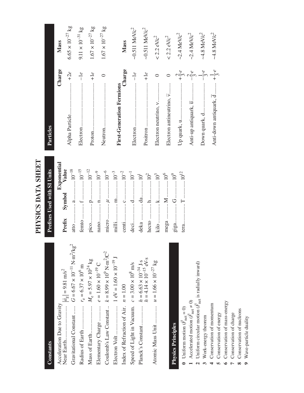PHYSICS DATA SHEET **PHYSICS DATA SHEET**

### Constants **Constants**

| Acceleration Due to Gravity                                                    |                                                                   |
|--------------------------------------------------------------------------------|-------------------------------------------------------------------|
| Gravitational Constant                                                         | $G = 6.67 \times 10^{-11} \text{ N} \cdot \text{m}^2/\text{kg}^2$ |
| Radius of Earth                                                                | $r_e = 6.37 \times 10^6$ m                                        |
|                                                                                | $M_e = 5.97 \times 10^{24} \text{ kg}$                            |
| Elementary Charge                                                              | $e=1.60\times10^{-19}$ C                                          |
| Coulomb's Law Constant $k = 8.99 \times 10^9$ N·m <sup>2</sup> /C <sup>2</sup> |                                                                   |
|                                                                                | $1 eV = 1.60 \times 10^{-19} J$                                   |
| Index of Refraction of Air. $n = 1.00$                                         |                                                                   |
| Speed of Light in Vacuum. $c = 3.00 \times 10^8$ m/s                           |                                                                   |
| Planck's Constant                                                              | $h = 6.63 \times 10^{-34}$ J.s<br>$h = 4.14 \times 10^{-15}$ eV.s |
| Atomic Mass Unit                                                               | $u = 1.66 \times 10^{-27}$ kg                                     |

## **Physics Principles Physics Principles**

- **0** Uniform motion (  $\vec{F}_{\text{net}} = 0$
- **1** Accelerated motion ( → *F*net ≠ 0)
- $\sim$ 2 Uniform circular motion ( ጎ  $F_{\text{net}}$  is radially inward)
- 3 Work-energy theorem 3 Work-energy theorem
- 4 Conservation of momentum Conservation of momentum
- **5** Conservation of energy Conservation of energy

- **6** Conservation of mass-energy Conservation of mass-energy
	- 7 Conservation of charge Conservation of charge
- 8 Conservation of nucleons Conservation of nucleons
	- **9** Wave-particle duality Wave-particle duality

### Exponential<br>Prefix Symbol Value **Exponential** µPrefixes Used with SI Units **Prefixes Used with SI Units Prefix Symbol Value** atto .............. a..............10–18 femto ........... f ..............10–15 p..............10–12  $\mu$ ................10<sup>–6</sup> T $n_{\dots\dots\dots\dots\dots10^{-9}}$ m.............10–3 centi............. c..............10–2  $d_{\dots\dots\dots\dots\dots10^{-1}}$ mega .......... M .............10<sup>6</sup>  $\label{eq:3} \text{gig}a.............\text{G}.............10^9$  $\rm T_{\cdots\cdots\cdots\cdots\cdots\cdots\mathbf{10^{12}}}$  $M$ ..............10 $^6$  $h_{\dots\dots\dots\dots\dots}\,10^{2}$ k..............103  $\rm G. . . . . . . . . 10^{9}$ deka ............ da............101 pico............... nano............. micro ........... milli............. deci.............. hecto ............ kilo .............. mega ........... giga................ tera...............

| Particles                                           |                                   |
|-----------------------------------------------------|-----------------------------------|
| Charge                                              | Mass                              |
|                                                     | $6.65\times10^{-27}\,\mathrm{kg}$ |
|                                                     | $9.11\times10^{-31}$ kg           |
|                                                     | $1.67\times10^{-27}\,\mathrm{kg}$ |
|                                                     | $1.67\times10^{-27}\,\mathrm{kg}$ |
| Charge<br><b>First-Generation Fermions</b>          | Mass                              |
|                                                     | ~0.511 $MeV/c^2$                  |
| $+1e$                                               | $\sim 0.511$ MeV/ $c^2$           |
| $\circ$<br>Electron neutrino, v                     | $< 2.2$ eV/c <sup>2</sup>         |
| Electron antineutrino, V                            | $< 2.2$ eV/c <sup>2</sup>         |
| $+\frac{2}{3}e$<br>Up quark, u                      | $-2.4$ MeV/ $c^2$                 |
| $\frac{1}{2}$<br>Anti-up antiquark, u               | $-2.4$ MeV/ $c^2$                 |
| $-\frac{1}{3}e$                                     | $-4.8$ MeV/ $c^2$                 |
| Anti-down antiquark, $\overline{d}$ $+\frac{1}{3}e$ | $~1.8$ MeV/ $c^2$                 |